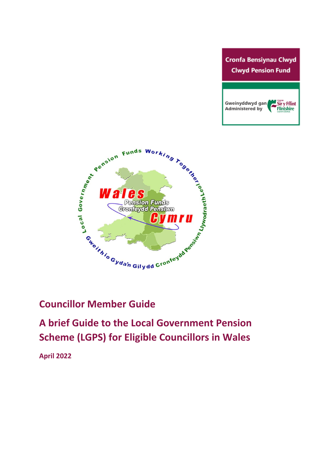



# **Councillor Member Guide**

**A brief Guide to the Local Government Pension Scheme (LGPS) for Eligible Councillors in Wales**

**April 2022**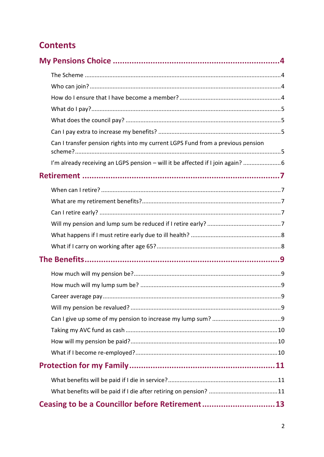# **Contents**

| Can I transfer pension rights into my current LGPS Fund from a previous pension |  |
|---------------------------------------------------------------------------------|--|
| I'm already receiving an LGPS pension - will it be affected if I join again?    |  |
|                                                                                 |  |
|                                                                                 |  |
|                                                                                 |  |
|                                                                                 |  |
|                                                                                 |  |
|                                                                                 |  |
|                                                                                 |  |
|                                                                                 |  |
|                                                                                 |  |
|                                                                                 |  |
| .9                                                                              |  |
|                                                                                 |  |
|                                                                                 |  |
|                                                                                 |  |
|                                                                                 |  |
|                                                                                 |  |
|                                                                                 |  |
|                                                                                 |  |
|                                                                                 |  |
| Ceasing to be a Councillor before Retirement13                                  |  |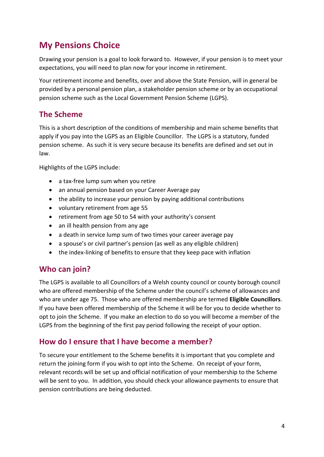# <span id="page-3-0"></span>**My Pensions Choice**

Drawing your pension is a goal to look forward to. However, if your pension is to meet your expectations, you will need to plan now for your income in retirement.

Your retirement income and benefits, over and above the State Pension, will in general be provided by a personal pension plan, a stakeholder pension scheme or by an occupational pension scheme such as the Local Government Pension Scheme (LGPS).

#### <span id="page-3-1"></span>**The Scheme**

This is a short description of the conditions of membership and main scheme benefits that apply if you pay into the LGPS as an Eligible Councillor. The LGPS is a statutory, funded pension scheme. As such it is very secure because its benefits are defined and set out in law.

Highlights of the LGPS include:

- a tax-free lump sum when you retire
- an annual pension based on your Career Average pay
- the ability to increase your pension by paying additional contributions
- voluntary retirement from age 55
- retirement from age 50 to 54 with your authority's consent
- an ill health pension from any age
- a death in service lump sum of two times your career average pay
- a spouse's or civil partner's pension (as well as any eligible children)
- the index-linking of benefits to ensure that they keep pace with inflation

#### <span id="page-3-2"></span>**Who can join?**

The LGPS is available to all Councillors of a Welsh county council or county borough council who are offered membership of the Scheme under the council's scheme of allowances and who are under age 75. Those who are offered membership are termed **Eligible Councillors**. If you have been offered membership of the Scheme it will be for you to decide whether to opt to join the Scheme. If you make an election to do so you will become a member of the LGPS from the beginning of the first pay period following the receipt of your option.

#### <span id="page-3-3"></span>**How do I ensure that I have become a member?**

To secure your entitlement to the Scheme benefits it is important that you complete and return the joining form if you wish to opt into the Scheme. On receipt of your form, relevant records will be set up and official notification of your membership to the Scheme will be sent to you. In addition, you should check your allowance payments to ensure that pension contributions are being deducted.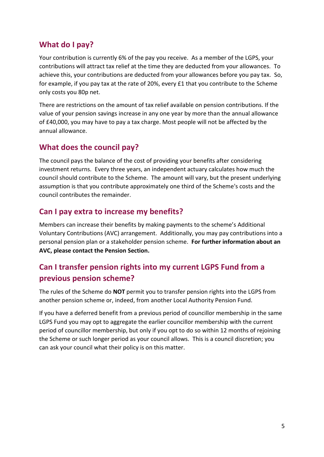### <span id="page-4-0"></span>**What do I pay?**

Your contribution is currently 6% of the pay you receive. As a member of the LGPS, your contributions will attract tax relief at the time they are deducted from your allowances. To achieve this, your contributions are deducted from your allowances before you pay tax. So, for example, if you pay tax at the rate of 20%, every £1 that you contribute to the Scheme only costs you 80p net.

There are restrictions on the amount of tax relief available on pension contributions. If the value of your pension savings increase in any one year by more than the annual allowance of £40,000, you may have to pay a tax charge. Most people will not be affected by the annual allowance.

### <span id="page-4-1"></span>**What does the council pay?**

The council pays the balance of the cost of providing your benefits after considering investment returns. Every three years, an independent actuary calculates how much the council should contribute to the Scheme. The amount will vary, but the present underlying assumption is that you contribute approximately one third of the Scheme's costs and the council contributes the remainder.

## <span id="page-4-2"></span>**Can I pay extra to increase my benefits?**

Members can increase their benefits by making payments to the scheme's Additional Voluntary Contributions (AVC) arrangement. Additionally, you may pay contributions into a personal pension plan or a stakeholder pension scheme. **For further information about an AVC, please contact the Pension Section.**

## <span id="page-4-3"></span>**Can I transfer pension rights into my current LGPS Fund from a previous pension scheme?**

The rules of the Scheme do **NOT** permit you to transfer pension rights into the LGPS from another pension scheme or, indeed, from another Local Authority Pension Fund.

If you have a deferred benefit from a previous period of councillor membership in the same LGPS Fund you may opt to aggregate the earlier councillor membership with the current period of councillor membership, but only if you opt to do so within 12 months of rejoining the Scheme or such longer period as your council allows. This is a council discretion; you can ask your council what their policy is on this matter.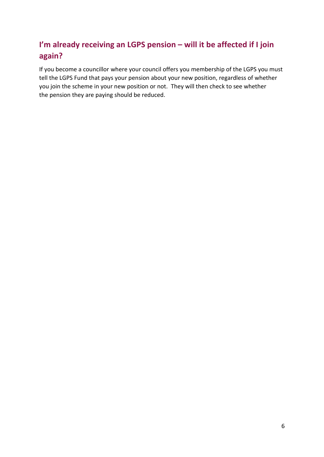# <span id="page-5-0"></span>**I'm already receiving an LGPS pension – will it be affected if I join again?**

If you become a councillor where your council offers you membership of the LGPS you must tell the LGPS Fund that pays your pension about your new position, regardless of whether you join the scheme in your new position or not. They will then check to see whether the pension they are paying should be reduced.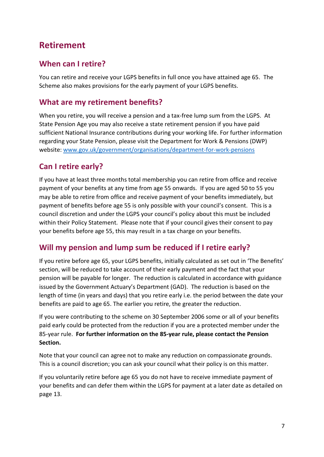# <span id="page-6-0"></span>**Retirement**

#### <span id="page-6-1"></span>**When can I retire?**

You can retire and receive your LGPS benefits in full once you have attained age 65. The Scheme also makes provisions for the early payment of your LGPS benefits.

#### <span id="page-6-2"></span>**What are my retirement benefits?**

When you retire, you will receive a pension and a tax-free lump sum from the LGPS. At State Pension Age you may also receive a state retirement pension if you have paid sufficient National Insurance contributions during your working life. For further information regarding your State Pension, please visit the Department for Work & Pensions (DWP) website: [www.gov.uk/government/organisations/department-for-work-pensions](http://www.gov.uk/government/organisations/department-for-work-pensions)

### <span id="page-6-3"></span>**Can I retire early?**

If you have at least three months total membership you can retire from office and receive payment of your benefits at any time from age 55 onwards. If you are aged 50 to 55 you may be able to retire from office and receive payment of your benefits immediately, but payment of benefits before age 55 is only possible with your council's consent. This is a council discretion and under the LGPS your council's policy about this must be included within their Policy Statement*.* Please note that if your council gives their consent to pay your benefits before age 55, this may result in a tax charge on your benefits.

#### <span id="page-6-4"></span>**Will my pension and lump sum be reduced if I retire early?**

If you retire before age 65, your LGPS benefits, initially calculated as set out in 'The Benefits' section, will be reduced to take account of their early payment and the fact that your pension will be payable for longer. The reduction is calculated in accordance with guidance issued by the Government Actuary's Department (GAD). The reduction is based on the length of time (in years and days) that you retire early i.e. the period between the date your benefits are paid to age 65. The earlier you retire, the greater the reduction.

If you were contributing to the scheme on 30 September 2006 some or all of your benefits paid early could be protected from the reduction if you are a protected member under the 85-year rule. **For further information on the 85-year rule, please contact the Pension Section.**

Note that your council can agree not to make any reduction on compassionate grounds. This is a council discretion; you can ask your council what their policy is on this matter.

If you voluntarily retire before age 65 you do not have to receive immediate payment of your benefits and can defer them within the LGPS for payment at a later date as detailed on page 13.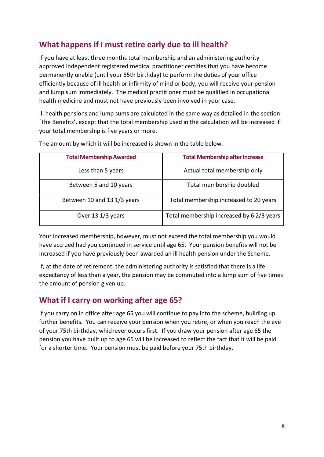## <span id="page-7-0"></span>**What happens if I must retire early due to ill health?**

If you have at least three months total membership and an administering authority approved independent registered medical practitioner certifies that you have become permanently unable (until your 65th birthday) to perform the duties of your office efficiently because of ill health or infirmity of mind or body, you will receive your pension and lump sum immediately. The medical practitioner must be qualified in occupational health medicine and must not have previously been involved in your case.

Ill health pensions and lump sums are calculated in the same way as detailed in the section 'The Benefits', except that the total membership used in the calculation will be increased if your total membership is five years or more.

| <b>Total Membership Awarded</b> | <b>Total Membership after Increase</b>    |
|---------------------------------|-------------------------------------------|
| Less than 5 years               | Actual total membership only              |
| Between 5 and 10 years          | Total membership doubled                  |
| Between 10 and 13 1/3 years     | Total membership increased to 20 years    |
| Over 13 1/3 years               | Total membership increased by 6 2/3 years |

The amount by which it will be increased is shown in the table below.

Your increased membership, however, must not exceed the total membership you would have accrued had you continued in service until age 65. Your pension benefits will not be increased if you have previously been awarded an ill health pension under the Scheme.

If, at the date of retirement, the administering authority is satisfied that there is a life expectancy of less than a year, the pension may be commuted into a lump sum of five times the amount of pension given up.

#### <span id="page-7-1"></span>**What if I carry on working after age 65?**

If you carry on in office after age 65 you will continue to pay into the scheme, building up further benefits. You can receive your pension when you retire, or when you reach the eve of your 75th birthday, whichever occurs first. If you draw your pension after age 65 the pension you have built up to age 65 will be increased to reflect the fact that it will be paid for a shorter time. Your pension must be paid before your 75th birthday.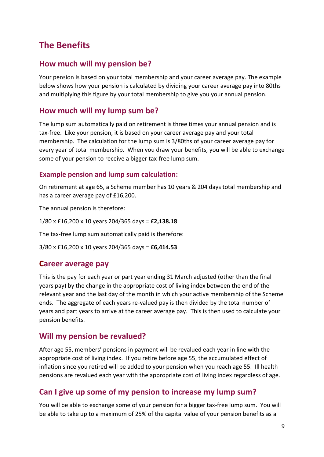# <span id="page-8-0"></span>**The Benefits**

#### <span id="page-8-1"></span>**How much will my pension be?**

Your pension is based on your total membership and your career average pay. The example below shows how your pension is calculated by dividing your career average pay into 80ths and multiplying this figure by your total membership to give you your annual pension.

#### <span id="page-8-2"></span>**How much will my lump sum be?**

The lump sum automatically paid on retirement is three times your annual pension and is tax-free. Like your pension, it is based on your career average pay and your total membership. The calculation for the lump sum is 3/80ths of your career average pay for every year of total membership. When you draw your benefits, you will be able to exchange some of your pension to receive a bigger tax-free lump sum.

#### **Example pension and lump sum calculation:**

On retirement at age 65, a Scheme member has 10 years & 204 days total membership and has a career average pay of £16,200.

The annual pension is therefore:

1/80 x £16,200 x 10 years 204/365 days = **£2,138.18**

The tax-free lump sum automatically paid is therefore:

3/80 x £16,200 x 10 years 204/365 days = **£6,414.53**

#### <span id="page-8-3"></span>**Career average pay**

This is the pay for each year or part year ending 31 March adjusted (other than the final years pay) by the change in the appropriate cost of living index between the end of the relevant year and the last day of the month in which your active membership of the Scheme ends. The aggregate of each years re-valued pay is then divided by the total number of years and part years to arrive at the career average pay. This is then used to calculate your pension benefits.

#### <span id="page-8-4"></span>**Will my pension be revalued?**

After age 55, members' pensions in payment will be revalued each year in line with the appropriate cost of living index. If you retire before age 55, the accumulated effect of inflation since you retired will be added to your pension when you reach age 55. Ill health pensions are revalued each year with the appropriate cost of living index regardless of age.

#### <span id="page-8-5"></span>**Can I give up some of my pension to increase my lump sum?**

You will be able to exchange some of your pension for a bigger tax-free lump sum. You will be able to take up to a maximum of 25% of the capital value of your pension benefits as a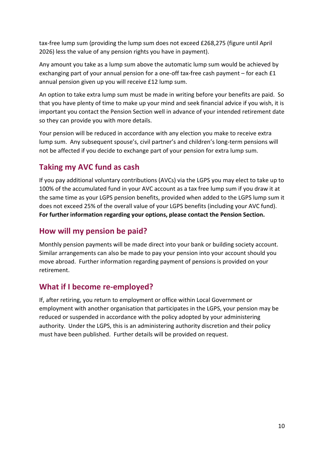tax-free lump sum (providing the lump sum does not exceed £268,275 (figure until April 2026) less the value of any pension rights you have in payment).

Any amount you take as a lump sum above the automatic lump sum would be achieved by exchanging part of your annual pension for a one-off tax-free cash payment – for each £1 annual pension given up you will receive £12 lump sum.

An option to take extra lump sum must be made in writing before your benefits are paid. So that you have plenty of time to make up your mind and seek financial advice if you wish, it is important you contact the Pension Section well in advance of your intended retirement date so they can provide you with more details.

Your pension will be reduced in accordance with any election you make to receive extra lump sum. Any subsequent spouse's, civil partner's and children's long-term pensions will not be affected if you decide to exchange part of your pension for extra lump sum.

### <span id="page-9-0"></span>**Taking my AVC fund as cash**

If you pay additional voluntary contributions (AVCs) via the LGPS you may elect to take up to 100% of the accumulated fund in your AVC account as a tax free lump sum if you draw it at the same time as your LGPS pension benefits, provided when added to the LGPS lump sum it does not exceed 25% of the overall value of your LGPS benefits (including your AVC fund). **For further information regarding your options, please contact the Pension Section.**

#### <span id="page-9-1"></span>**How will my pension be paid?**

Monthly pension payments will be made direct into your bank or building society account. Similar arrangements can also be made to pay your pension into your account should you move abroad. Further information regarding payment of pensions is provided on your retirement.

#### <span id="page-9-2"></span>**What if I become re-employed?**

If, after retiring, you return to employment or office within Local Government or employment with another organisation that participates in the LGPS, your pension may be reduced or suspended in accordance with the policy adopted by your administering authority. Under the LGPS, this is an administering authority discretion and their policy must have been published. Further details will be provided on request.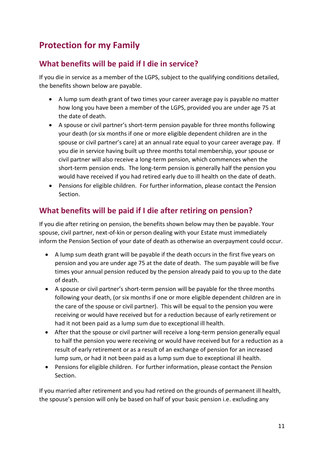# <span id="page-10-0"></span>**Protection for my Family**

#### <span id="page-10-1"></span>**What benefits will be paid if I die in service?**

If you die in service as a member of the LGPS, subject to the qualifying conditions detailed, the benefits shown below are payable.

- A lump sum death grant of two times your career average pay is payable no matter how long you have been a member of the LGPS, provided you are under age 75 at the date of death.
- A spouse or civil partner's short-term pension payable for three months following your death (or six months if one or more eligible dependent children are in the spouse or civil partner's care) at an annual rate equal to your career average pay. If you die in service having built up three months total membership, your spouse or civil partner will also receive a long-term pension, which commences when the short-term pension ends. The long-term pension is generally half the pension you would have received if you had retired early due to ill health on the date of death.
- Pensions for eligible children. For further information, please contact the Pension Section.

## <span id="page-10-2"></span>**What benefits will be paid if I die after retiring on pension?**

If you die after retiring on pension, the benefits shown below may then be payable. Your spouse, civil partner, next-of-kin or person dealing with your Estate must immediately inform the Pension Section of your date of death as otherwise an overpayment could occur.

- A lump sum death grant will be payable if the death occurs in the first five years on pension and you are under age 75 at the date of death. The sum payable will be five times your annual pension reduced by the pension already paid to you up to the date of death.
- A spouse or civil partner's short-term pension will be payable for the three months following your death, (or six months if one or more eligible dependent children are in the care of the spouse or civil partner). This will be equal to the pension you were receiving or would have received but for a reduction because of early retirement or had it not been paid as a lump sum due to exceptional ill health.
- After that the spouse or civil partner will receive a long-term pension generally equal to half the pension you were receiving or would have received but for a reduction as a result of early retirement or as a result of an exchange of pension for an increased lump sum, or had it not been paid as a lump sum due to exceptional ill health.
- Pensions for eligible children. For further information, please contact the Pension Section.

If you married after retirement and you had retired on the grounds of permanent ill health, the spouse's pension will only be based on half of your basic pension i.e. excluding any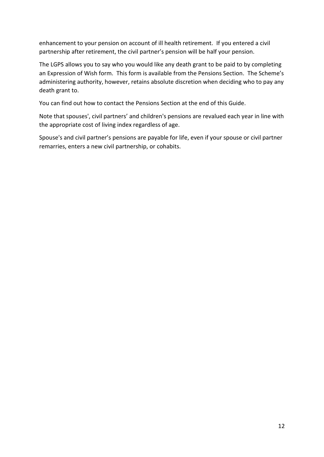enhancement to your pension on account of ill health retirement. If you entered a civil partnership after retirement, the civil partner's pension will be half your pension.

The LGPS allows you to say who you would like any death grant to be paid to by completing an Expression of Wish form. This form is available from the Pensions Section. The Scheme's administering authority, however, retains absolute discretion when deciding who to pay any death grant to.

You can find out how to contact the Pensions Section at the end of this Guide.

Note that spouses', civil partners' and children's pensions are revalued each year in line with the appropriate cost of living index regardless of age.

Spouse's and civil partner's pensions are payable for life, even if your spouse or civil partner remarries, enters a new civil partnership, or cohabits.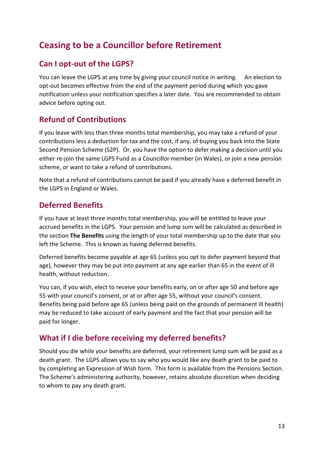# <span id="page-12-0"></span>**Ceasing to be a Councillor before Retirement**

### <span id="page-12-1"></span>**Can I opt-out of the LGPS?**

You can leave the LGPS at any time by giving your council notice in writing. An election to opt-out becomes effective from the end of the payment period during which you gave notification unless your notification specifies a later date. You are recommended to obtain advice before opting out.

## <span id="page-12-2"></span>**Refund of Contributions**

If you leave with less than three months total membership, you may take a refund of your contributions less a deduction for tax and the cost, if any, of buying you back into the State Second Pension Scheme (S2P). Or, you have the option to defer making a decision until you either re-join the same LGPS Fund as a Councillor member (in Wales), or join a new pension scheme, or want to take a refund of contributions.

Note that a refund of contributions cannot be paid if you already have a deferred benefit in the LGPS in England or Wales.

### <span id="page-12-3"></span>**Deferred Benefits**

If you have at least three months total membership, you will be entitled to leave your accrued benefits in the LGPS. Your pension and lump sum will be calculated as described in the section **The Benefits** using the length of your total membership up to the date that you left the Scheme. This is known as having deferred benefits.

Deferred benefits become payable at age 65 (unless you opt to defer payment beyond that age), however they may be put into payment at any age earlier than 65 in the event of ill health, without reduction.

You can, if you wish, elect to receive your benefits early, on or after age 50 and before age 55 with your council's consent, or at or after age 55, without your council's consent. Benefits being paid before age 65 (unless being paid on the grounds of permanent ill health) may be reduced to take account of early payment and the fact that your pension will be paid for longer.

## <span id="page-12-4"></span>**What if I die before receiving my deferred benefits?**

Should you die while your benefits are deferred, your retirement lump sum will be paid as a death grant. The LGPS allows you to say who you would like any death grant to be paid to by completing an Expression of Wish form. This form is available from the Pensions Section. The Scheme's administering authority, however, retains absolute discretion when deciding to whom to pay any death grant.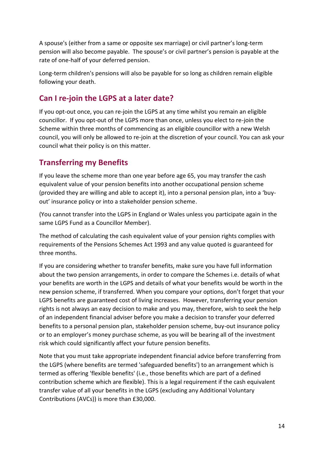A spouse's (either from a same or opposite sex marriage) or civil partner's long-term pension will also become payable. The spouse's or civil partner's pension is payable at the rate of one-half of your deferred pension.

Long-term children's pensions will also be payable for so long as children remain eligible following your death.

## <span id="page-13-0"></span>**Can I re-join the LGPS at a later date?**

If you opt-out once, you can re-join the LGPS at any time whilst you remain an eligible councillor. If you opt-out of the LGPS more than once, unless you elect to re-join the Scheme within three months of commencing as an eligible councillor with a new Welsh council, you will only be allowed to re-join at the discretion of your council. You can ask your council what their policy is on this matter.

## <span id="page-13-1"></span>**Transferring my Benefits**

If you leave the scheme more than one year before age 65, you may transfer the cash equivalent value of your pension benefits into another occupational pension scheme (provided they are willing and able to accept it), into a personal pension plan, into a 'buyout' insurance policy or into a stakeholder pension scheme.

(You cannot transfer into the LGPS in England or Wales unless you participate again in the same LGPS Fund as a Councillor Member).

The method of calculating the cash equivalent value of your pension rights complies with requirements of the Pensions Schemes Act 1993 and any value quoted is guaranteed for three months.

If you are considering whether to transfer benefits, make sure you have full information about the two pension arrangements, in order to compare the Schemes i.e. details of what your benefits are worth in the LGPS and details of what your benefits would be worth in the new pension scheme, if transferred. When you compare your options, don't forget that your LGPS benefits are guaranteed cost of living increases. However, transferring your pension rights is not always an easy decision to make and you may, therefore, wish to seek the help of an independent financial adviser before you make a decision to transfer your deferred benefits to a personal pension plan, stakeholder pension scheme, buy-out insurance policy or to an employer's money purchase scheme, as you will be bearing all of the investment risk which could significantly affect your future pension benefits.

Note that you must take appropriate independent financial advice before transferring from the LGPS (where benefits are termed 'safeguarded benefits') to an arrangement which is termed as offering 'flexible benefits' (i.e., those benefits which are part of a defined contribution scheme which are flexible). This is a legal requirement if the cash equivalent transfer value of all your benefits in the LGPS (excluding any Additional Voluntary Contributions (AVCs)) is more than £30,000.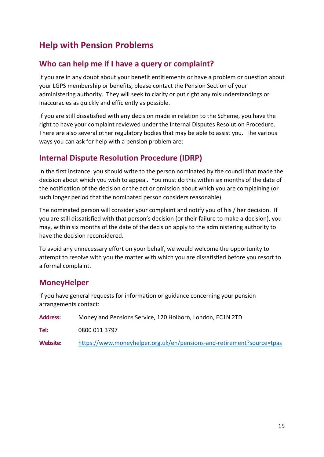# <span id="page-14-0"></span>**Help with Pension Problems**

#### <span id="page-14-1"></span>**Who can help me if I have a query or complaint?**

If you are in any doubt about your benefit entitlements or have a problem or question about your LGPS membership or benefits, please contact the Pension Section of your administering authority. They will seek to clarify or put right any misunderstandings or inaccuracies as quickly and efficiently as possible.

If you are still dissatisfied with any decision made in relation to the Scheme, you have the right to have your complaint reviewed under the Internal Disputes Resolution Procedure. There are also several other regulatory bodies that may be able to assist you. The various ways you can ask for help with a pension problem are:

#### <span id="page-14-2"></span>**Internal Dispute Resolution Procedure (IDRP)**

In the first instance, you should write to the person nominated by the council that made the decision about which you wish to appeal. You must do this within six months of the date of the notification of the decision or the act or omission about which you are complaining (or such longer period that the nominated person considers reasonable).

The nominated person will consider your complaint and notify you of his / her decision. If you are still dissatisfied with that person's decision (or their failure to make a decision), you may, within six months of the date of the decision apply to the administering authority to have the decision reconsidered.

To avoid any unnecessary effort on your behalf, we would welcome the opportunity to attempt to resolve with you the matter with which you are dissatisfied before you resort to a formal complaint.

#### <span id="page-14-3"></span>**MoneyHelper**

If you have general requests for information or guidance concerning your pension arrangements contact:

| <b>Address:</b> | Money and Pensions Service, 120 Holborn, London, EC1N 2TD             |
|-----------------|-----------------------------------------------------------------------|
| Tel:            | 0800 011 3797                                                         |
| Website:        | https://www.moneyhelper.org.uk/en/pensions-and-retirement?source=tpas |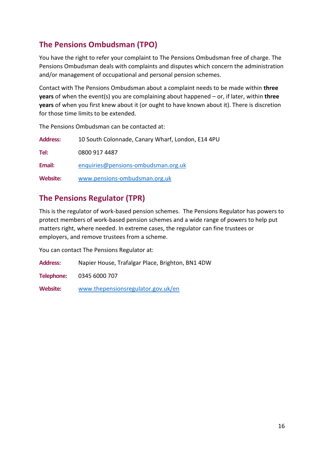## <span id="page-15-0"></span>**The Pensions Ombudsman (TPO)**

The Pensions Ombudsman can be contacted at:

You have the right to refer your complaint to The Pensions Ombudsman free of charge. The Pensions Ombudsman deals with complaints and disputes which concern the administration and/or management of occupational and personal pension schemes.

Contact with The Pensions Ombudsman about a complaint needs to be made within **three years** of when the event(s) you are complaining about happened – or, if later, within **three years** of when you first knew about it (or ought to have known about it). There is discretion for those time limits to be extended.

**Address:** 10 South Colonnade, Canary Wharf, London, E14 4PU **Tel:** 0800 917 4487 **Email:** [enquiries@pensions-ombudsman.org.uk](mailto:enquiries@pensions-ombudsman.org.uk) **Website:** [www.pensions-ombudsman.org.uk](http://www.pensions-ombudsman.org.uk/)

## <span id="page-15-1"></span>**The Pensions Regulator (TPR)**

This is the regulator of work-based pension schemes. The Pensions Regulator has powers to protect members of work-based pension schemes and a wide range of powers to help put matters right, where needed. In extreme cases, the regulator can fine trustees or employers, and remove trustees from a scheme.

You can contact The Pensions Regulator at:

**Address:** Napier House, Trafalgar Place, Brighton, BN1 4DW

**Telephone:** 0345 6000 707

**Website:** [www.thepensionsregulator.gov.uk/en](http://www.thepensionsregulator.gov.uk/en)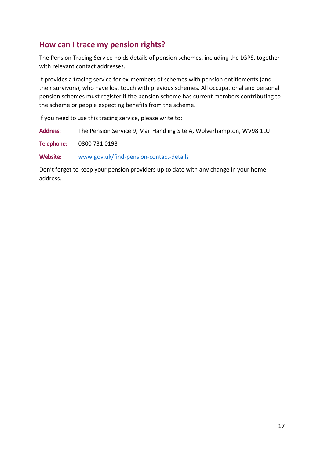#### <span id="page-16-0"></span>**How can I trace my pension rights?**

The Pension Tracing Service holds details of pension schemes, including the LGPS, together with relevant contact addresses.

It provides a tracing service for ex-members of schemes with pension entitlements (and their survivors), who have lost touch with previous schemes. All occupational and personal pension schemes must register if the pension scheme has current members contributing to the scheme or people expecting benefits from the scheme.

If you need to use this tracing service, please write to:

**Address:** The Pension Service 9, Mail Handling Site A, Wolverhampton, WV98 1LU

**Telephone:** 0800 731 0193

**Website:** [www.gov.uk/find-pension-contact-details](http://www.gov.uk/find-pension-contact-details)

Don't forget to keep your pension providers up to date with any change in your home address.